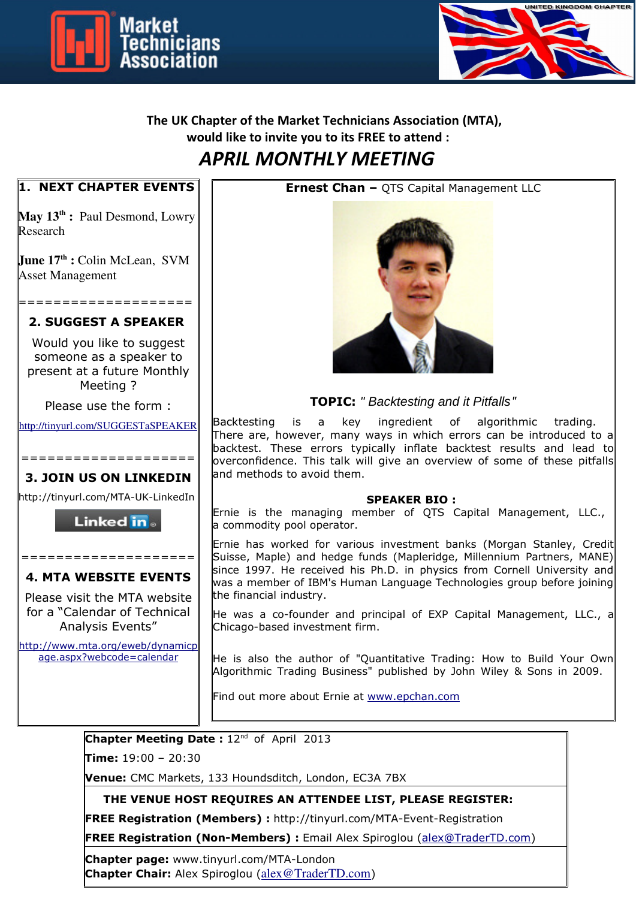



# **The UK Chapter of the Market Technicians Association (MTA), would like to invite you to its FREE to attend :** *APRIL MONTHLY MEETING*

### **1. NEXT CHAPTER EVENTS**

**May 13th :** Paul Desmond, Lowry Research

**June 17th :** Colin McLean, SVM Asset Management

## ==================== **2. SUGGEST A SPEAKER**

Would you like to suggest someone as a speaker to present at a future Monthly Meeting ?

Please use the form :

http://tinyurl.com/SUGGESTaSPEAKER

### ==================== **3. JOIN US ON LINKEDIN**

http://tinyurl.com/MTA-UK-LinkedIn

**Linked** in .

### ==================== **4. MTA WEBSITE EVENTS**

Please visit the MTA website for a "Calendar of Technical Analysis Events"

http://www.mta.org/eweb/dynamicp age.aspx?webcode=calendar

**Ernest Chan –** QTS Capital Management LLC



**TOPIC:** *" Backtesting and it Pitfalls*"

Backtesting is a key ingredient of algorithmic trading. There are, however, many ways in which errors can be introduced to a backtest. These errors typically inflate backtest results and lead to  $\sim$  overconfidence. This talk will give an overview of some of these pitfalls and methods to avoid them.

#### **SPEAKER BIO :**

Ernie is the managing member of QTS Capital Management, LLC., a commodity pool operator.

Ernie has worked for various investment banks (Morgan Stanley, Credit Suisse, Maple) and hedge funds (Mapleridge, Millennium Partners, MANE) since 1997. He received his Ph.D. in physics from Cornell University and was a member of IBM's Human Language Technologies group before joining the financial industry.

He was a co-founder and principal of EXP Capital Management, LLC., a Chicago-based investment firm.

He is also the author of "Quantitative Trading: How to Build Your Own Algorithmic Trading Business" published by John Wiley & Sons in 2009.

Find out more about Ernie at www.epchan.com

**Chapter Meeting Date: 12<sup>nd</sup> of April 2013** 

**Time:** 19:00 – 20:30

**Venue:** CMC Markets, 133 Houndsditch, London, EC3A 7BX

 **THE VENUE HOST REQUIRES AN ATTENDEE LIST, PLEASE REGISTER:** 

**FREE Registration (Members) :** http://tinyurl.com/MTA-Event-Registration

**FREE Registration (Non-Members) :** Email Alex Spiroglou (alex@TraderTD.com)

**Chapter page:** www.tinyurl.com/MTA-London **Chapter Chair:** Alex Spiroglou (alex@TraderTD.com)